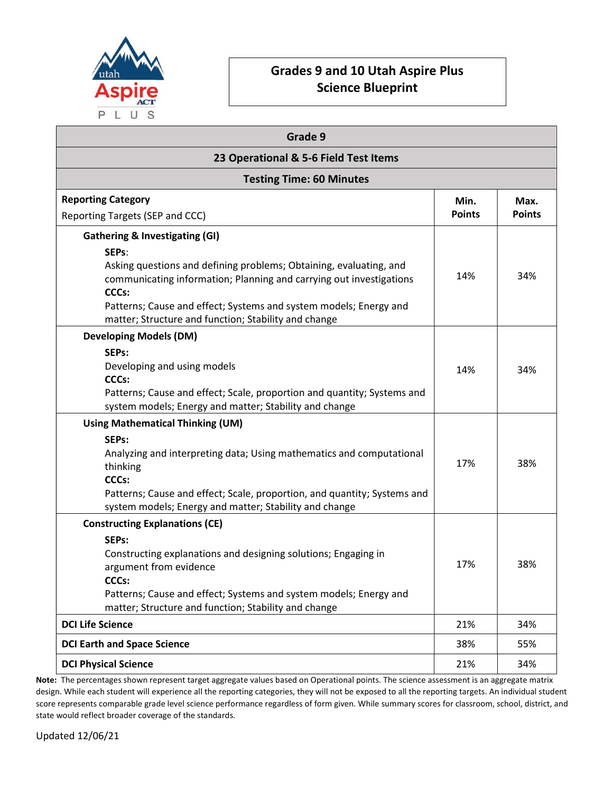

## Grades 9 and 10 Utah Aspire Plus Science Blueprint

| Grade 9<br>23 Operational & 5-6 Field Test Items<br><b>Testing Time: 60 Minutes</b>                                                                                                                                                                                                             |     |     |                                 |               |               |
|-------------------------------------------------------------------------------------------------------------------------------------------------------------------------------------------------------------------------------------------------------------------------------------------------|-----|-----|---------------------------------|---------------|---------------|
|                                                                                                                                                                                                                                                                                                 |     |     | <b>Reporting Category</b>       | Min.          | Max.          |
|                                                                                                                                                                                                                                                                                                 |     |     | Reporting Targets (SEP and CCC) | <b>Points</b> | <b>Points</b> |
| <b>Gathering &amp; Investigating (GI)</b>                                                                                                                                                                                                                                                       |     |     |                                 |               |               |
| SEPs:<br>Asking questions and defining problems; Obtaining, evaluating, and<br>communicating information; Planning and carrying out investigations<br><b>CCCs:</b><br>Patterns; Cause and effect; Systems and system models; Energy and<br>matter; Structure and function; Stability and change | 14% | 34% |                                 |               |               |
| <b>Developing Models (DM)</b>                                                                                                                                                                                                                                                                   |     |     |                                 |               |               |
| SEP <sub>s</sub> :<br>Developing and using models<br>CCCs:<br>Patterns; Cause and effect; Scale, proportion and quantity; Systems and<br>system models; Energy and matter; Stability and change                                                                                                 | 14% | 34% |                                 |               |               |
| <b>Using Mathematical Thinking (UM)</b>                                                                                                                                                                                                                                                         |     |     |                                 |               |               |
| SEPs:<br>Analyzing and interpreting data; Using mathematics and computational<br>thinking<br><b>CCCs:</b><br>Patterns; Cause and effect; Scale, proportion, and quantity; Systems and<br>system models; Energy and matter; Stability and change                                                 | 17% | 38% |                                 |               |               |
| <b>Constructing Explanations (CE)</b>                                                                                                                                                                                                                                                           |     |     |                                 |               |               |
| SEPs:<br>Constructing explanations and designing solutions; Engaging in<br>argument from evidence<br><b>CCCs:</b><br>Patterns; Cause and effect; Systems and system models; Energy and<br>matter; Structure and function; Stability and change                                                  | 17% | 38% |                                 |               |               |
| <b>DCI Life Science</b>                                                                                                                                                                                                                                                                         | 21% | 34% |                                 |               |               |
| <b>DCI Earth and Space Science</b>                                                                                                                                                                                                                                                              | 38% | 55% |                                 |               |               |
| <b>DCI Physical Science</b>                                                                                                                                                                                                                                                                     | 21% | 34% |                                 |               |               |

Note: The percentages shown represent target aggregate values based on Operational points. The science assessment is an aggregate matrix design. While each student will experience all the reporting categories, they will not be exposed to all the reporting targets. An individual student score represents comparable grade level science performance regardless of form given. While summary scores for classroom, school, district, and state would reflect broader coverage of the standards.